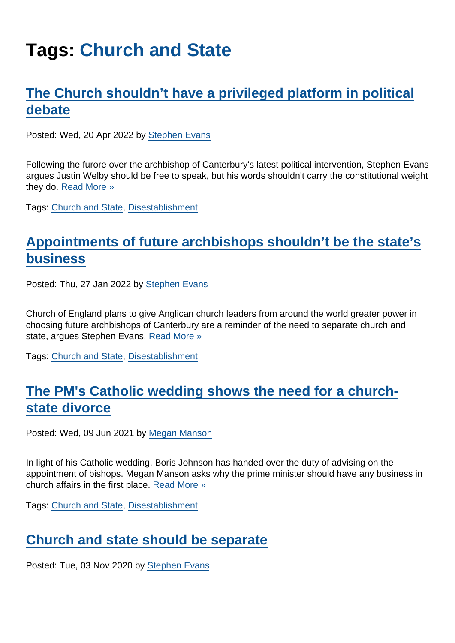# Tags: [Church and State](https://www.secularism.org.uk/opinion/tags/Church+and+State)

## [The Church shouldn't have a privileged platform in political](https://www.secularism.org.uk/opinion/2022/04/the-church-shouldnt-have-a-privileged-platform-in-political-debate) [debate](https://www.secularism.org.uk/opinion/2022/04/the-church-shouldnt-have-a-privileged-platform-in-political-debate)

Posted: Wed, 20 Apr 2022 by [Stephen Evans](https://www.secularism.org.uk/opinion/authors/845)

Following the furore over the archbishop of Canterbury's latest political intervention, Stephen Evans argues Justin Welby should be free to speak, but his words shouldn't carry the constitutional weight they do. [Read More »](https://www.secularism.org.uk/opinion/2022/04/the-church-shouldnt-have-a-privileged-platform-in-political-debate)

Tags: [Church and State,](https://www.secularism.org.uk/opinion/tags/Church+and+State) [Disestablishment](https://www.secularism.org.uk/opinion/tags/Disestablishment)

### [Appointments of future archbishops shouldn't be the state's](https://www.secularism.org.uk/opinion/2022/01/appointments-of-future-archbishops-shouldnt-be-the-states-business) [business](https://www.secularism.org.uk/opinion/2022/01/appointments-of-future-archbishops-shouldnt-be-the-states-business)

Posted: Thu, 27 Jan 2022 by [Stephen Evans](https://www.secularism.org.uk/opinion/authors/845)

Church of England plans to give Anglican church leaders from around the world greater power in choosing future archbishops of Canterbury are a reminder of the need to separate church and state, argues Stephen Evans. [Read More »](https://www.secularism.org.uk/opinion/2022/01/appointments-of-future-archbishops-shouldnt-be-the-states-business)

Tags: [Church and State,](https://www.secularism.org.uk/opinion/tags/Church+and+State) [Disestablishment](https://www.secularism.org.uk/opinion/tags/Disestablishment)

### [The PM's Catholic wedding shows the need for a church](https://www.secularism.org.uk/opinion/2021/06/the-pms-catholic-wedding-shows-the-need-for-a-church-state-divorce)[state divorce](https://www.secularism.org.uk/opinion/2021/06/the-pms-catholic-wedding-shows-the-need-for-a-church-state-divorce)

Posted: Wed, 09 Jun 2021 by [Megan Manson](https://www.secularism.org.uk/opinion/authors/971)

In light of his Catholic wedding, Boris Johnson has handed over the duty of advising on the appointment of bishops. Megan Manson asks why the prime minister should have any business in church affairs in the first place. [Read More »](https://www.secularism.org.uk/opinion/2021/06/the-pms-catholic-wedding-shows-the-need-for-a-church-state-divorce)

Tags: [Church and State,](https://www.secularism.org.uk/opinion/tags/Church+and+State) [Disestablishment](https://www.secularism.org.uk/opinion/tags/Disestablishment)

#### [Church and state should be separate](https://www.secularism.org.uk/opinion/2020/11/church-and-state-should-be-separate)

Posted: Tue, 03 Nov 2020 by [Stephen Evans](https://www.secularism.org.uk/opinion/authors/845)